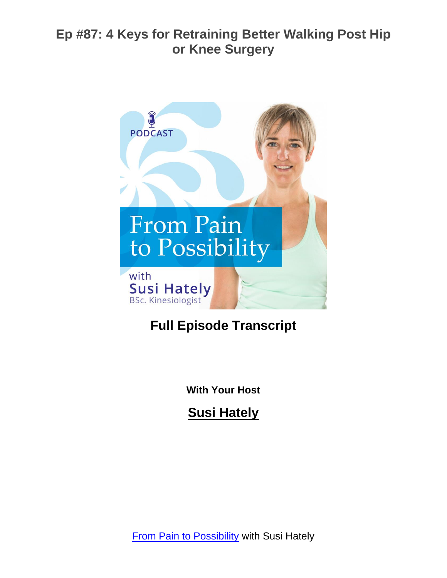

# **Full Episode Transcript**

**With Your Host**

**Susi Hately**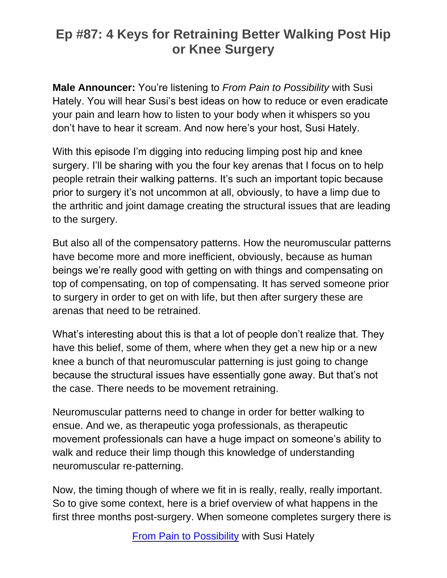**Male Announcer:** You're listening to *From Pain to Possibility* with Susi Hately. You will hear Susi's best ideas on how to reduce or even eradicate your pain and learn how to listen to your body when it whispers so you don't have to hear it scream. And now here's your host, Susi Hately.

With this episode I'm digging into reducing limping post hip and knee surgery. I'll be sharing with you the four key arenas that I focus on to help people retrain their walking patterns. It's such an important topic because prior to surgery it's not uncommon at all, obviously, to have a limp due to the arthritic and joint damage creating the structural issues that are leading to the surgery.

But also all of the compensatory patterns. How the neuromuscular patterns have become more and more inefficient, obviously, because as human beings we're really good with getting on with things and compensating on top of compensating, on top of compensating. It has served someone prior to surgery in order to get on with life, but then after surgery these are arenas that need to be retrained.

What's interesting about this is that a lot of people don't realize that. They have this belief, some of them, where when they get a new hip or a new knee a bunch of that neuromuscular patterning is just going to change because the structural issues have essentially gone away. But that's not the case. There needs to be movement retraining.

Neuromuscular patterns need to change in order for better walking to ensue. And we, as therapeutic yoga professionals, as therapeutic movement professionals can have a huge impact on someone's ability to walk and reduce their limp though this knowledge of understanding neuromuscular re-patterning.

Now, the timing though of where we fit in is really, really, really important. So to give some context, here is a brief overview of what happens in the first three months post-surgery. When someone completes surgery there is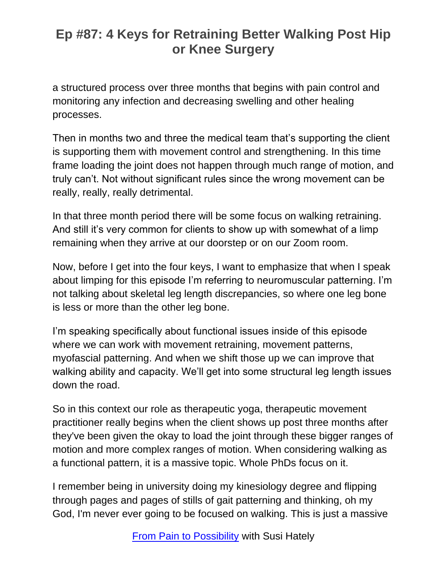a structured process over three months that begins with pain control and monitoring any infection and decreasing swelling and other healing processes.

Then in months two and three the medical team that's supporting the client is supporting them with movement control and strengthening. In this time frame loading the joint does not happen through much range of motion, and truly can't. Not without significant rules since the wrong movement can be really, really, really detrimental.

In that three month period there will be some focus on walking retraining. And still it's very common for clients to show up with somewhat of a limp remaining when they arrive at our doorstep or on our Zoom room.

Now, before I get into the four keys, I want to emphasize that when I speak about limping for this episode I'm referring to neuromuscular patterning. I'm not talking about skeletal leg length discrepancies, so where one leg bone is less or more than the other leg bone.

I'm speaking specifically about functional issues inside of this episode where we can work with movement retraining, movement patterns, myofascial patterning. And when we shift those up we can improve that walking ability and capacity. We'll get into some structural leg length issues down the road.

So in this context our role as therapeutic yoga, therapeutic movement practitioner really begins when the client shows up post three months after they've been given the okay to load the joint through these bigger ranges of motion and more complex ranges of motion. When considering walking as a functional pattern, it is a massive topic. Whole PhDs focus on it.

I remember being in university doing my kinesiology degree and flipping through pages and pages of stills of gait patterning and thinking, oh my God, I'm never ever going to be focused on walking. This is just a massive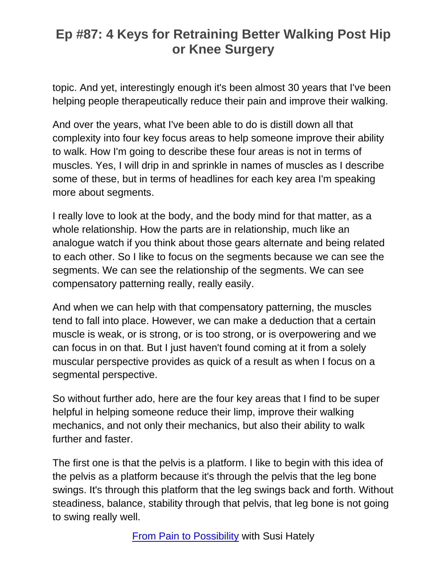topic. And yet, interestingly enough it's been almost 30 years that I've been helping people therapeutically reduce their pain and improve their walking.

And over the years, what I've been able to do is distill down all that complexity into four key focus areas to help someone improve their ability to walk. How I'm going to describe these four areas is not in terms of muscles. Yes, I will drip in and sprinkle in names of muscles as I describe some of these, but in terms of headlines for each key area I'm speaking more about segments.

I really love to look at the body, and the body mind for that matter, as a whole relationship. How the parts are in relationship, much like an analogue watch if you think about those gears alternate and being related to each other. So I like to focus on the segments because we can see the segments. We can see the relationship of the segments. We can see compensatory patterning really, really easily.

And when we can help with that compensatory patterning, the muscles tend to fall into place. However, we can make a deduction that a certain muscle is weak, or is strong, or is too strong, or is overpowering and we can focus in on that. But I just haven't found coming at it from a solely muscular perspective provides as quick of a result as when I focus on a segmental perspective.

So without further ado, here are the four key areas that I find to be super helpful in helping someone reduce their limp, improve their walking mechanics, and not only their mechanics, but also their ability to walk further and faster.

The first one is that the pelvis is a platform. I like to begin with this idea of the pelvis as a platform because it's through the pelvis that the leg bone swings. It's through this platform that the leg swings back and forth. Without steadiness, balance, stability through that pelvis, that leg bone is not going to swing really well.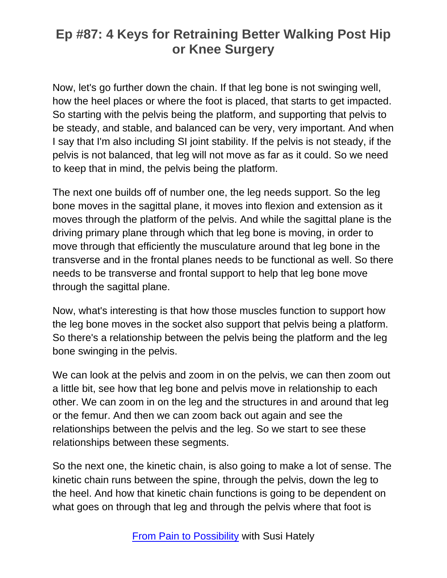Now, let's go further down the chain. If that leg bone is not swinging well, how the heel places or where the foot is placed, that starts to get impacted. So starting with the pelvis being the platform, and supporting that pelvis to be steady, and stable, and balanced can be very, very important. And when I say that I'm also including SI joint stability. If the pelvis is not steady, if the pelvis is not balanced, that leg will not move as far as it could. So we need to keep that in mind, the pelvis being the platform.

The next one builds off of number one, the leg needs support. So the leg bone moves in the sagittal plane, it moves into flexion and extension as it moves through the platform of the pelvis. And while the sagittal plane is the driving primary plane through which that leg bone is moving, in order to move through that efficiently the musculature around that leg bone in the transverse and in the frontal planes needs to be functional as well. So there needs to be transverse and frontal support to help that leg bone move through the sagittal plane.

Now, what's interesting is that how those muscles function to support how the leg bone moves in the socket also support that pelvis being a platform. So there's a relationship between the pelvis being the platform and the leg bone swinging in the pelvis.

We can look at the pelvis and zoom in on the pelvis, we can then zoom out a little bit, see how that leg bone and pelvis move in relationship to each other. We can zoom in on the leg and the structures in and around that leg or the femur. And then we can zoom back out again and see the relationships between the pelvis and the leg. So we start to see these relationships between these segments.

So the next one, the kinetic chain, is also going to make a lot of sense. The kinetic chain runs between the spine, through the pelvis, down the leg to the heel. And how that kinetic chain functions is going to be dependent on what goes on through that leg and through the pelvis where that foot is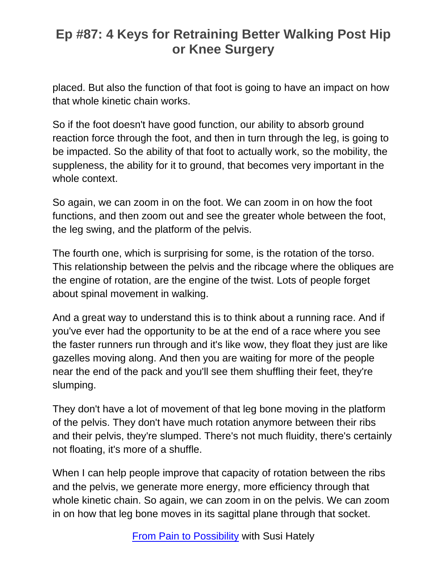placed. But also the function of that foot is going to have an impact on how that whole kinetic chain works.

So if the foot doesn't have good function, our ability to absorb ground reaction force through the foot, and then in turn through the leg, is going to be impacted. So the ability of that foot to actually work, so the mobility, the suppleness, the ability for it to ground, that becomes very important in the whole context.

So again, we can zoom in on the foot. We can zoom in on how the foot functions, and then zoom out and see the greater whole between the foot, the leg swing, and the platform of the pelvis.

The fourth one, which is surprising for some, is the rotation of the torso. This relationship between the pelvis and the ribcage where the obliques are the engine of rotation, are the engine of the twist. Lots of people forget about spinal movement in walking.

And a great way to understand this is to think about a running race. And if you've ever had the opportunity to be at the end of a race where you see the faster runners run through and it's like wow, they float they just are like gazelles moving along. And then you are waiting for more of the people near the end of the pack and you'll see them shuffling their feet, they're slumping.

They don't have a lot of movement of that leg bone moving in the platform of the pelvis. They don't have much rotation anymore between their ribs and their pelvis, they're slumped. There's not much fluidity, there's certainly not floating, it's more of a shuffle.

When I can help people improve that capacity of rotation between the ribs and the pelvis, we generate more energy, more efficiency through that whole kinetic chain. So again, we can zoom in on the pelvis. We can zoom in on how that leg bone moves in its sagittal plane through that socket.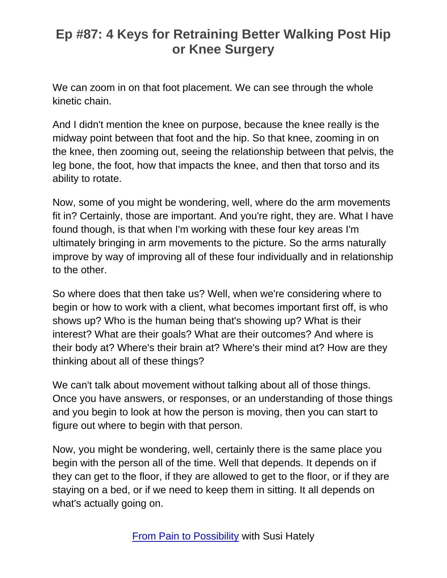We can zoom in on that foot placement. We can see through the whole kinetic chain.

And I didn't mention the knee on purpose, because the knee really is the midway point between that foot and the hip. So that knee, zooming in on the knee, then zooming out, seeing the relationship between that pelvis, the leg bone, the foot, how that impacts the knee, and then that torso and its ability to rotate.

Now, some of you might be wondering, well, where do the arm movements fit in? Certainly, those are important. And you're right, they are. What I have found though, is that when I'm working with these four key areas I'm ultimately bringing in arm movements to the picture. So the arms naturally improve by way of improving all of these four individually and in relationship to the other.

So where does that then take us? Well, when we're considering where to begin or how to work with a client, what becomes important first off, is who shows up? Who is the human being that's showing up? What is their interest? What are their goals? What are their outcomes? And where is their body at? Where's their brain at? Where's their mind at? How are they thinking about all of these things?

We can't talk about movement without talking about all of those things. Once you have answers, or responses, or an understanding of those things and you begin to look at how the person is moving, then you can start to figure out where to begin with that person.

Now, you might be wondering, well, certainly there is the same place you begin with the person all of the time. Well that depends. It depends on if they can get to the floor, if they are allowed to get to the floor, or if they are staying on a bed, or if we need to keep them in sitting. It all depends on what's actually going on.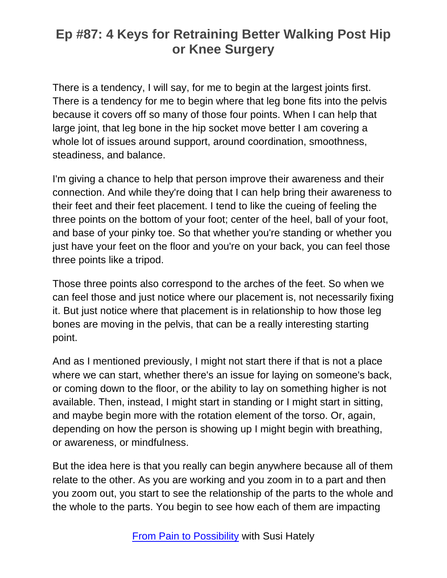There is a tendency, I will say, for me to begin at the largest joints first. There is a tendency for me to begin where that leg bone fits into the pelvis because it covers off so many of those four points. When I can help that large joint, that leg bone in the hip socket move better I am covering a whole lot of issues around support, around coordination, smoothness, steadiness, and balance.

I'm giving a chance to help that person improve their awareness and their connection. And while they're doing that I can help bring their awareness to their feet and their feet placement. I tend to like the cueing of feeling the three points on the bottom of your foot; center of the heel, ball of your foot, and base of your pinky toe. So that whether you're standing or whether you just have your feet on the floor and you're on your back, you can feel those three points like a tripod.

Those three points also correspond to the arches of the feet. So when we can feel those and just notice where our placement is, not necessarily fixing it. But just notice where that placement is in relationship to how those leg bones are moving in the pelvis, that can be a really interesting starting point.

And as I mentioned previously, I might not start there if that is not a place where we can start, whether there's an issue for laying on someone's back, or coming down to the floor, or the ability to lay on something higher is not available. Then, instead, I might start in standing or I might start in sitting, and maybe begin more with the rotation element of the torso. Or, again, depending on how the person is showing up I might begin with breathing, or awareness, or mindfulness.

But the idea here is that you really can begin anywhere because all of them relate to the other. As you are working and you zoom in to a part and then you zoom out, you start to see the relationship of the parts to the whole and the whole to the parts. You begin to see how each of them are impacting